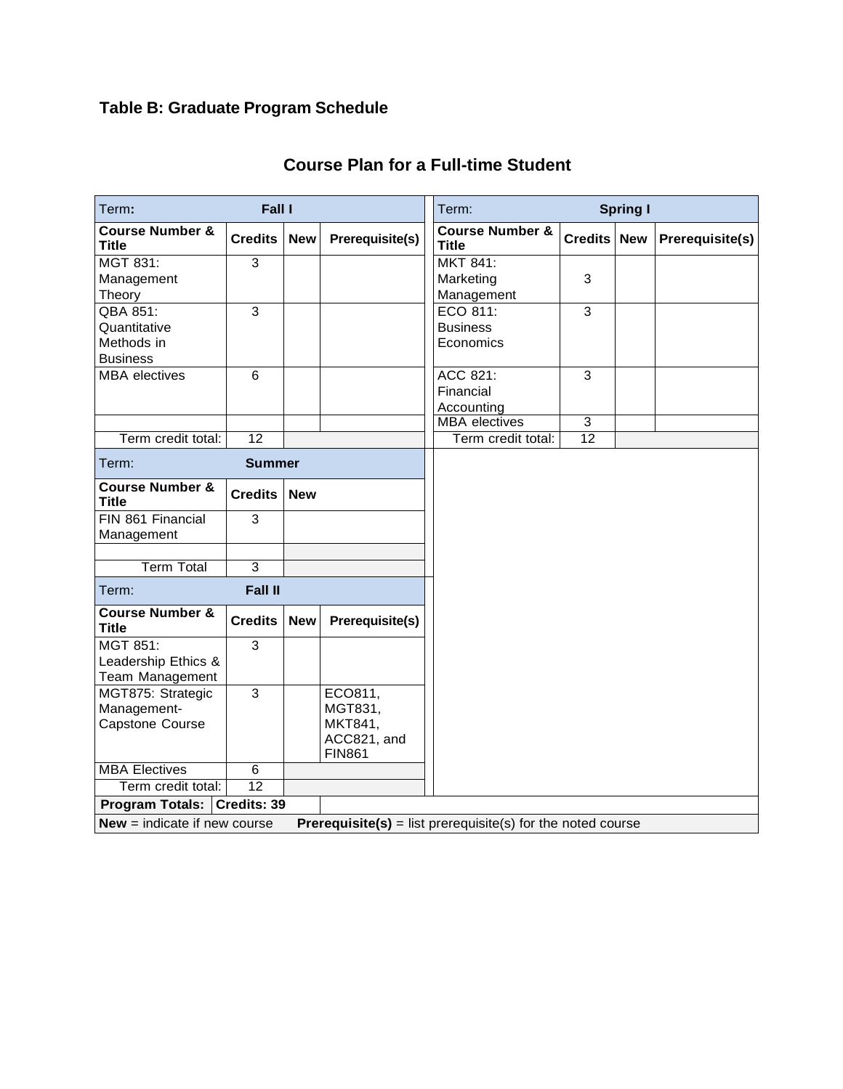## **Table B: Graduate Program Schedule**

| Fall I<br>Term:                                                                                      |                 |            |                                         | Term:<br><b>Spring I</b>                   |                    |  |                 |  |  |
|------------------------------------------------------------------------------------------------------|-----------------|------------|-----------------------------------------|--------------------------------------------|--------------------|--|-----------------|--|--|
| <b>Course Number &amp;</b><br><b>Title</b>                                                           | <b>Credits</b>  | <b>New</b> | Prerequisite(s)                         | <b>Course Number &amp;</b><br><b>Title</b> | <b>Credits New</b> |  | Prerequisite(s) |  |  |
| MGT 831:                                                                                             | $\overline{3}$  |            |                                         | $MKT 841$ :                                |                    |  |                 |  |  |
| Management                                                                                           |                 |            |                                         | Marketing                                  | 3                  |  |                 |  |  |
| Theory                                                                                               |                 |            |                                         | Management                                 |                    |  |                 |  |  |
| QBA 851:                                                                                             | $\overline{3}$  |            |                                         | ECO 811:                                   | $\overline{3}$     |  |                 |  |  |
| Quantitative                                                                                         |                 |            |                                         | <b>Business</b>                            |                    |  |                 |  |  |
| Methods in                                                                                           |                 |            |                                         | Economics                                  |                    |  |                 |  |  |
| <b>Business</b>                                                                                      |                 |            |                                         |                                            |                    |  |                 |  |  |
| <b>MBA</b> electives                                                                                 | $6\phantom{1}$  |            |                                         | ACC $821$ :                                | 3                  |  |                 |  |  |
|                                                                                                      |                 |            |                                         | Financial                                  |                    |  |                 |  |  |
|                                                                                                      |                 |            |                                         | Accounting                                 |                    |  |                 |  |  |
|                                                                                                      |                 |            |                                         | <b>MBA</b> electives                       | $\overline{3}$     |  |                 |  |  |
| Term credit total:                                                                                   | $\overline{12}$ |            |                                         | Term credit total:                         | $\overline{12}$    |  |                 |  |  |
| Term:                                                                                                | <b>Summer</b>   |            |                                         |                                            |                    |  |                 |  |  |
| <b>Course Number &amp;</b><br><b>Title</b>                                                           | <b>Credits</b>  | <b>New</b> |                                         |                                            |                    |  |                 |  |  |
| FIN 861 Financial<br>Management                                                                      | 3               |            |                                         |                                            |                    |  |                 |  |  |
|                                                                                                      |                 |            |                                         |                                            |                    |  |                 |  |  |
| <b>Term Total</b>                                                                                    | $\overline{3}$  |            |                                         |                                            |                    |  |                 |  |  |
| Term:                                                                                                | <b>Fall II</b>  |            |                                         |                                            |                    |  |                 |  |  |
| <b>Course Number &amp;</b><br><b>Title</b>                                                           | <b>Credits</b>  | <b>New</b> | Prerequisite(s)                         |                                            |                    |  |                 |  |  |
| MGT 851:                                                                                             | $\overline{3}$  |            |                                         |                                            |                    |  |                 |  |  |
| Leadership Ethics &                                                                                  |                 |            |                                         |                                            |                    |  |                 |  |  |
| Team Management                                                                                      |                 |            |                                         |                                            |                    |  |                 |  |  |
| MGT875: Strategic                                                                                    | $\overline{3}$  |            | ECO811,                                 |                                            |                    |  |                 |  |  |
| Management-                                                                                          |                 |            | MGT831,                                 |                                            |                    |  |                 |  |  |
| Capstone Course                                                                                      |                 |            | MKT841,<br>ACC821, and<br><b>FIN861</b> |                                            |                    |  |                 |  |  |
| <b>MBA Electives</b>                                                                                 | $\overline{6}$  |            |                                         |                                            |                    |  |                 |  |  |
| Term credit total:                                                                                   | 12              |            |                                         |                                            |                    |  |                 |  |  |
| Program Totals: Credits: 39                                                                          |                 |            |                                         |                                            |                    |  |                 |  |  |
| $New = indicate if new course$<br><b>Prerequisite(s)</b> = list prerequisite(s) for the noted course |                 |            |                                         |                                            |                    |  |                 |  |  |

## **Course Plan for a Full-time Student**